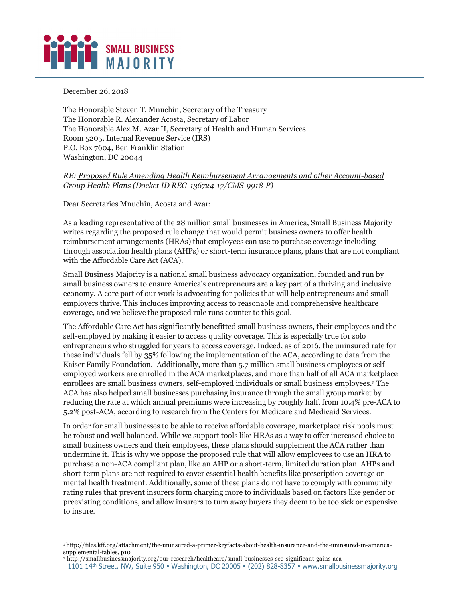

December 26, 2018

-

The Honorable Steven T. Mnuchin, Secretary of the Treasury The Honorable R. Alexander Acosta, Secretary of Labor The Honorable Alex M. Azar II, Secretary of Health and Human Services Room 5205, Internal Revenue Service (IRS) P.O. Box 7604, Ben Franklin Station Washington, DC 20044

## *RE: Proposed Rule Amending Health Reimbursement Arrangements and other Account-based Group Health Plans (Docket ID REG-136724-17/CMS-9918-P)*

Dear Secretaries Mnuchin, Acosta and Azar:

As a leading representative of the 28 million small businesses in America, Small Business Majority writes regarding the proposed rule change that would permit business owners to offer health reimbursement arrangements (HRAs) that employees can use to purchase coverage including through association health plans (AHPs) or short-term insurance plans, plans that are not compliant with the Affordable Care Act (ACA).

Small Business Majority is a national small business advocacy organization, founded and run by small business owners to ensure America's entrepreneurs are a key part of a thriving and inclusive economy. A core part of our work is advocating for policies that will help entrepreneurs and small employers thrive. This includes improving access to reasonable and comprehensive healthcare coverage, and we believe the proposed rule runs counter to this goal.

The Affordable Care Act has significantly benefitted small business owners, their employees and the self-employed by making it easier to access quality coverage. This is especially true for solo entrepreneurs who struggled for years to access coverage. Indeed, as of 2016, the uninsured rate for these individuals fell by 35% following the implementation of the ACA, according to data from the Kaiser Family Foundation.1 Additionally, more than 5.7 million small business employees or selfemployed workers are enrolled in the ACA marketplaces, and more than half of all ACA marketplace enrollees are small business owners, self-employed individuals or small business employees.2 The ACA has also helped small businesses purchasing insurance through the small group market by reducing the rate at which annual premiums were increasing by roughly half, from 10.4% pre-ACA to 5.2% post-ACA, according to research from the Centers for Medicare and Medicaid Services.

In order for small businesses to be able to receive affordable coverage, marketplace risk pools must be robust and well balanced. While we support tools like HRAs as a way to offer increased choice to small business owners and their employees, these plans should supplement the ACA rather than undermine it. This is why we oppose the proposed rule that will allow employees to use an HRA to purchase a non-ACA compliant plan, like an AHP or a short-term, limited duration plan. AHPs and short-term plans are not required to cover essential health benefits like prescription coverage or mental health treatment. Additionally, some of these plans do not have to comply with community rating rules that prevent insurers form charging more to individuals based on factors like gender or preexisting conditions, and allow insurers to turn away buyers they deem to be too sick or expensive to insure.

<sup>1</sup> http://files.kff.org/attachment/the-uninsured-a-primer-keyfacts-about-health-insurance-and-the-uninsured-in-americasupplemental-tables, p10

<sup>2</sup> http://smallbusinessmajority.org/our-research/healthcare/small-businesses-see-significant-gains-aca

<sup>1101 14&</sup>lt;sup>th</sup> Street, NW, Suite 950 · Washington, DC 20005 · (202) 828-8357 · www.smallbusinessmajority.org